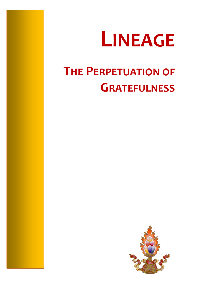

# **THE PERPETUATION OF GRATEFULNESS**

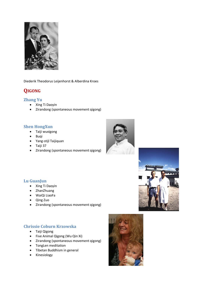

Diederik Theodorus Leijenhorst & Alberdina Kroes

# **QIGONG**

## **Zhang Yu**

- Xing Ti Daoyin
- Zirandong (spontaneous movement qigong)

## **Shen HongXun**

- Taiji wuxigong
- Buqi
- Yang-stijl Taijiquan
- Taiji 37
- Zirandong (spontaneous movement qigong)





- Xing Ti Daoyin
- ZhanZhuang
- WaiQi LiaoFa
- Qing Zuo
- Zirandong (spontaneous movement qigong)

# **Chrissie Coburn Krzowska**

- Taiji Qigong
- Five Animal Qigong (Wu Qin Xi)
- Zirandong (spontaneous movement qigong)
- **•** TongLen meditation
- Tibetan Buddhism in general
- Kinesiology

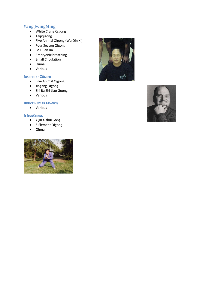# **Yang JwingMing**

- White Crane Qigong
- Taijiqigong
- Five Animal Qigong (Wu Qin Xi)
- Four Season Qigong
- Ba Duan Jin
- Embryonic breathing
- Small Circulation
- Qinna
- Various

#### **JOSEPHINE ZÖLLER**

- Five Animal Qigong
- **•** Jingang Qigong
- Shi Ba Shi Liao Goong
- Various

#### **BRUCE KUMAR FRANCIS**

Various

#### **JI JIANCHENG**

- Yijin Xishui Gong
- 5 Element Qigong
- Qinna





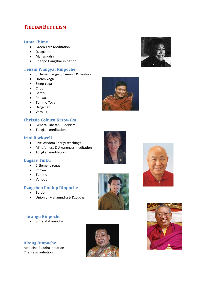# **TIBETAN BUDDHISM**

#### **Lama Chime**

- Green Tara Meditation
- Dzogchen
- Mahamudra
- Khenpo Gangshar initiation

## **Tenzin Wangyal Rinpoche**

- 5 Element Yoga (Shamanic & Tantric)
- Dream Yoga
- Sleep Yoga
- Chöd
- Bardo
- Phowa
- Tummo Yoga
- Dzogchen
- Varoius

## **Chrissie Coburn Krzowska**

- General Tibetan Buddhism
- TongLen meditation

### **Irini Rockwell**

- Five Wisdom Energy teachings
- Mindfulness & Awareness meditation
- TongLen meditation

#### **Dagsay Tulku**

- 5 Element Yogas
- Phowa
- Tummo
- Various

# **Dzogchen Ponlop Rinpoche**

- Bardo
- Union of Mahamudra & Dzogchen

# **Thrangu Rinpoche**

• Sutra Mahamudra

**Akong Rinpoche** Medicine Buddha initiation Chenrezig initiation











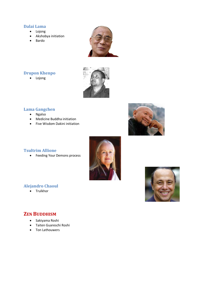## **Dalai Lama**

- Lojong
- Akshobya initiation
- Bardo



# **Drupon Khenpo**

• Lojong



# **Lama Gangchen**

- Ngalso
- Medicine Buddha initiation
- Five Wisdom Dakini initiation



# **Tsultrim Allione**

**•** Feeding Your Demons process





# **ZEN BUDDHISM**

**Alejandro Chaoul** • Trulkhor

- Sakiyama Roshi
- Taiten Guareschi Roshi
- Ton Lathouwers